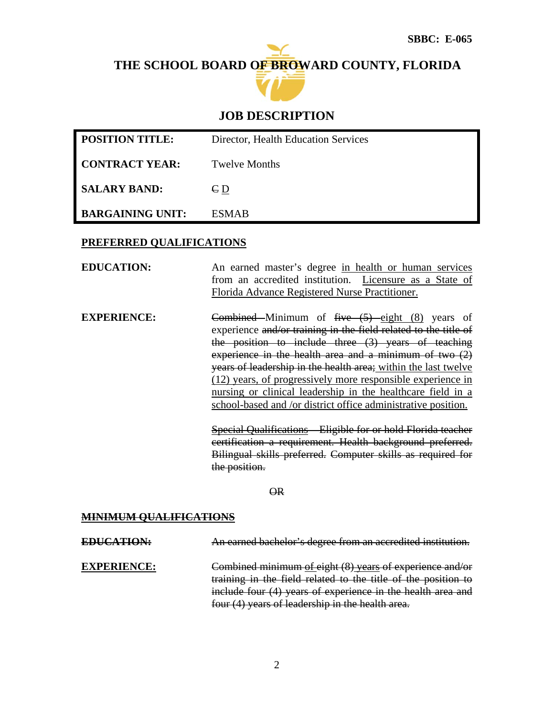# **THE SCHOOL BOARD OF BROWARD COUNTY, FLORIDA**



# **JOB DESCRIPTION**

| <b>POSITION TITLE:</b>  | Director, Health Education Services |
|-------------------------|-------------------------------------|
| <b>CONTRACT YEAR:</b>   | Twelve Months                       |
| <b>SALARY BAND:</b>     | $\epsilon_{D}$                      |
| <b>BARGAINING UNIT:</b> | <b>ESMAR</b>                        |

### **PREFERRED QUALIFICATIONS**

**EDUCATION:** An earned master's degree in health or human services from an accredited institution. Licensure as a State of Florida Advance Registered Nurse Practitioner.

**EXPERIENCE:** Combined Minimum of five (5) eight (8) years of experience and/or training in the field related to the title of the position to include three (3) years of teaching experience in the health area and a minimum of two  $(2)$ years of leadership in the health area; within the last twelve (12) years, of progressively more responsible experience in nursing or clinical leadership in the healthcare field in a school-based and /or district office administrative position.

> Special Qualifications – Eligible for or hold Florida teacher certification a requirement. Health background preferred. Bilingual skills preferred. Computer skills as required for the position.

> > OR

### **MINIMUM QUALIFICATIONS**

**EDUCATION:** An earned bachelor's degree from an accredited institution. **EXPERIENCE:** Combined minimum of eight (8) years of experience and/or training in the field related to the title of the position to include four (4) years of experience in the health area and four (4) years of leadership in the health area.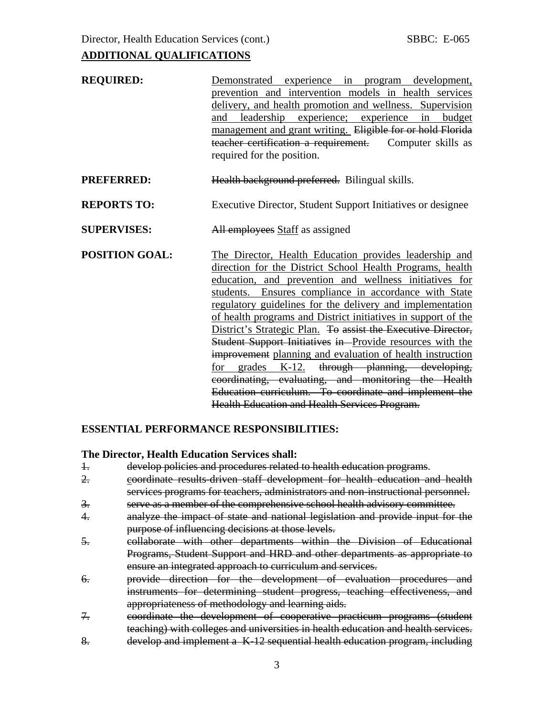| <b>REQUIRED:</b>      | Demonstrated experience in program development,<br>prevention and intervention models in health services<br>delivery, and health promotion and wellness. Supervision<br>leadership experience; experience in<br>budget<br>and<br>management and grant writing. Eligible for or hold Florida<br>teacher certification a requirement. Computer skills as<br>required for the position.                                                                                                                                                                                                                                                                                                                                                                                                     |  |  |  |  |  |
|-----------------------|------------------------------------------------------------------------------------------------------------------------------------------------------------------------------------------------------------------------------------------------------------------------------------------------------------------------------------------------------------------------------------------------------------------------------------------------------------------------------------------------------------------------------------------------------------------------------------------------------------------------------------------------------------------------------------------------------------------------------------------------------------------------------------------|--|--|--|--|--|
| <b>PREFERRED:</b>     | Health background preferred. Bilingual skills.                                                                                                                                                                                                                                                                                                                                                                                                                                                                                                                                                                                                                                                                                                                                           |  |  |  |  |  |
| <b>REPORTS TO:</b>    | Executive Director, Student Support Initiatives or designee                                                                                                                                                                                                                                                                                                                                                                                                                                                                                                                                                                                                                                                                                                                              |  |  |  |  |  |
| <b>SUPERVISES:</b>    | All employees Staff as assigned                                                                                                                                                                                                                                                                                                                                                                                                                                                                                                                                                                                                                                                                                                                                                          |  |  |  |  |  |
| <b>POSITION GOAL:</b> | The Director, Health Education provides leadership and<br>direction for the District School Health Programs, health<br>education, and prevention and wellness initiatives for<br>students. Ensures compliance in accordance with State<br>regulatory guidelines for the delivery and implementation<br>of health programs and District initiatives in support of the<br>District's Strategic Plan. To assist the Executive Director,<br>Student Support Initiatives in Provide resources with the<br>improvement planning and evaluation of health instruction<br>for grades K-12. through planning, developing,<br>coordinating, evaluating, and monitoring the Health<br>Education curriculum. To coordinate and implement the<br><b>Health Education and Health Services Program.</b> |  |  |  |  |  |

### **ESSENTIAL PERFORMANCE RESPONSIBILITIES:**

#### **The Director, Health Education Services shall:**

- 1. develop policies and procedures related to health education programs.
- 2. coordinate results-driven staff development for health education and health services programs for teachers, administrators and non-instructional personnel.
- 3. serve as a member of the comprehensive school health advisory committee.
- 4. analyze the impact of state and national legislation and provide input for the purpose of influencing decisions at those levels.
- 5. collaborate with other departments within the Division of Educational Programs, Student Support and HRD and other departments as appropriate to ensure an integrated approach to curriculum and services.
- 6. provide direction for the development of evaluation procedures and instruments for determining student progress, teaching effectiveness, and appropriateness of methodology and learning aids.
- 7. coordinate the development of cooperative practicum programs (student teaching) with colleges and universities in health education and health services.
- 8. develop and implement a K-12 sequential health education program, including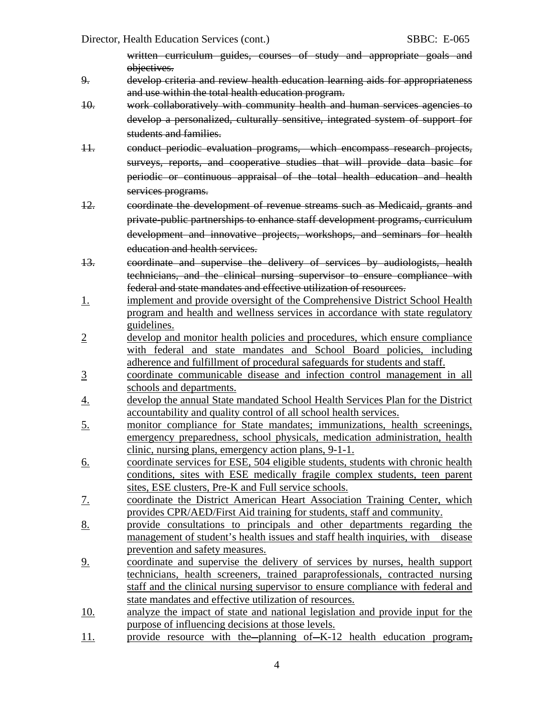written curriculum guides, courses of study and appropriate goals and objectives.

- 9. develop criteria and review health education learning aids for appropriateness and use within the total health education program.
- 10. work collaboratively with community health and human services agencies to develop a personalized, culturally sensitive, integrated system of support for students and families.
- 11. conduct periodic evaluation programs, which encompass research projects, surveys, reports, and cooperative studies that will provide data basic for periodic or continuous appraisal of the total health education and health services programs.
- 12. coordinate the development of revenue streams such as Medicaid, grants and private-public partnerships to enhance staff development programs, curriculum development and innovative projects, workshops, and seminars for health education and health services.
- 13. coordinate and supervise the delivery of services by audiologists, health technicians, and the clinical nursing supervisor to ensure compliance with federal and state mandates and effective utilization of resources.
- 1. **implement and provide oversight of the Comprehensive District School Health** program and health and wellness services in accordance with state regulatory guidelines.
- 2 develop and monitor health policies and procedures, which ensure compliance with federal and state mandates and School Board policies, including adherence and fulfillment of procedural safeguards for students and staff.
- 3 coordinate communicable disease and infection control management in all schools and departments.
- 4. develop the annual State mandated School Health Services Plan for the District accountability and quality control of all school health services.
- 5. monitor compliance for State mandates; immunizations, health screenings, emergency preparedness, school physicals, medication administration, health clinic, nursing plans, emergency action plans, 9-1-1.
- 6. coordinate services for ESE, 504 eligible students, students with chronic health conditions, sites with ESE medically fragile complex students, teen parent sites, ESE clusters, Pre-K and Full service schools.
- 7. coordinate the District American Heart Association Training Center, which provides CPR/AED/First Aid training for students, staff and community.
- 8. provide consultations to principals and other departments regarding the management of student's health issues and staff health inquiries, with disease prevention and safety measures.
- 9. coordinate and supervise the delivery of services by nurses, health support technicians, health screeners, trained paraprofessionals, contracted nursing staff and the clinical nursing supervisor to ensure compliance with federal and state mandates and effective utilization of resources.
- 10. analyze the impact of state and national legislation and provide input for the purpose of influencing decisions at those levels.
- 11. provide resource with the planning of K-12 health education program,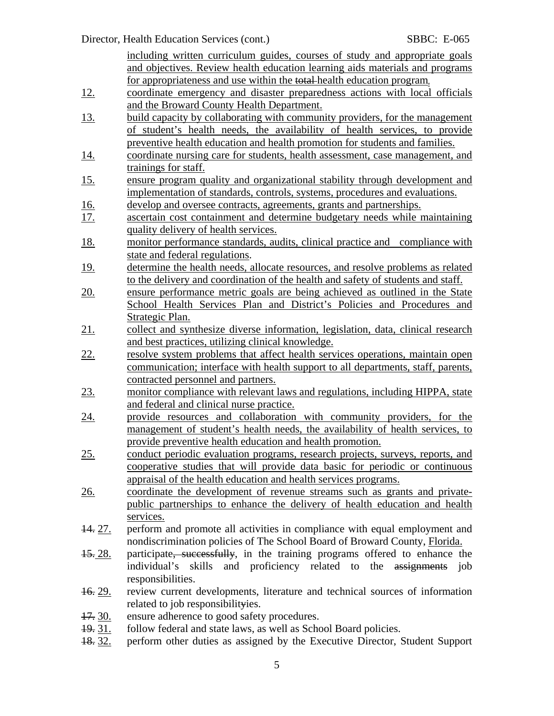Director, Health Education Services (cont.) SBBC: E-065

including written curriculum guides, courses of study and appropriate goals and objectives. Review health education learning aids materials and programs for appropriateness and use within the total health education program. 12. coordinate emergency and disaster preparedness actions with local officials and the Broward County Health Department. 13. build capacity by collaborating with community providers, for the management of student's health needs, the availability of health services, to provide preventive health education and health promotion for students and families. 14. coordinate nursing care for students, health assessment, case management, and trainings for staff. 15. ensure program quality and organizational stability through development and implementation of standards, controls, systems, procedures and evaluations. 16. develop and oversee contracts, agreements, grants and partnerships. 17. ascertain cost containment and determine budgetary needs while maintaining quality delivery of health services. 18. monitor performance standards, audits, clinical practice and compliance with state and federal regulations. 19. determine the health needs, allocate resources, and resolve problems as related to the delivery and coordination of the health and safety of students and staff. 20. ensure performance metric goals are being achieved as outlined in the State School Health Services Plan and District's Policies and Procedures and Strategic Plan. 21. collect and synthesize diverse information, legislation, data, clinical research and best practices, utilizing clinical knowledge. 22. resolve system problems that affect health services operations, maintain open communication; interface with health support to all departments, staff, parents, contracted personnel and partners. 23. monitor compliance with relevant laws and regulations, including HIPPA, state and federal and clinical nurse practice. 24. provide resources and collaboration with community providers, for the management of student's health needs, the availability of health services, to provide preventive health education and health promotion. 25. conduct periodic evaluation programs, research projects, surveys, reports, and cooperative studies that will provide data basic for periodic or continuous appraisal of the health education and health services programs. 26. coordinate the development of revenue streams such as grants and privatepublic partnerships to enhance the delivery of health education and health services. 14. 27. perform and promote all activities in compliance with equal employment and nondiscrimination policies of The School Board of Broward County, Florida. 15. 28. participate, successfully, in the training programs offered to enhance the individual's skills and proficiency related to the assignments job responsibilities. 16. 29. review current developments, literature and technical sources of information related to job responsibilityies. 17. 30. ensure adherence to good safety procedures. 19. 31. follow federal and state laws, as well as School Board policies.

18. 32. perform other duties as assigned by the Executive Director, Student Support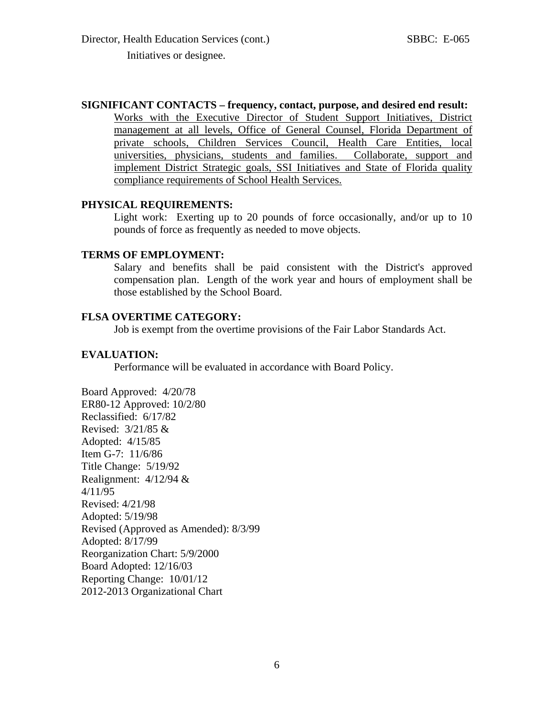**SIGNIFICANT CONTACTS – frequency, contact, purpose, and desired end result:** 

Works with the Executive Director of Student Support Initiatives, District management at all levels, Office of General Counsel, Florida Department of private schools, Children Services Council, Health Care Entities, local universities, physicians, students and families. Collaborate, support and implement District Strategic goals, SSI Initiatives and State of Florida quality compliance requirements of School Health Services.

#### **PHYSICAL REQUIREMENTS:**

Light work: Exerting up to 20 pounds of force occasionally, and/or up to 10 pounds of force as frequently as needed to move objects.

#### **TERMS OF EMPLOYMENT:**

Salary and benefits shall be paid consistent with the District's approved compensation plan. Length of the work year and hours of employment shall be those established by the School Board.

#### **FLSA OVERTIME CATEGORY:**

Job is exempt from the overtime provisions of the Fair Labor Standards Act.

#### **EVALUATION:**

Performance will be evaluated in accordance with Board Policy.

Board Approved: 4/20/78 ER80-12 Approved: 10/2/80 Reclassified: 6/17/82 Revised: 3/21/85 & Adopted: 4/15/85 Item G-7: 11/6/86 Title Change: 5/19/92 Realignment: 4/12/94 & 4/11/95 Revised: 4/21/98 Adopted: 5/19/98 Revised (Approved as Amended): 8/3/99 Adopted: 8/17/99 Reorganization Chart: 5/9/2000 Board Adopted: 12/16/03 Reporting Change: 10/01/12 2012-2013 Organizational Chart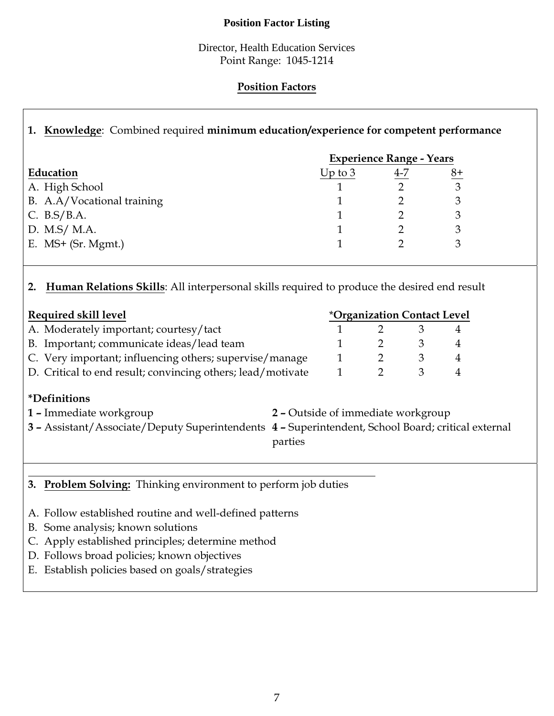### **Position Factor Listing**

Director, Health Education Services Point Range: 1045-1214

## **Position Factors**

# **1. Knowledge**: Combined required **minimum education/experience for competent performance**

|                            | <b>Experience Range - Years</b> |     |    |
|----------------------------|---------------------------------|-----|----|
| Education                  | Up to $3$                       | 4-7 | 8+ |
| A. High School             |                                 |     |    |
| B. A.A/Vocational training |                                 |     |    |
| C. $B.S/B.A.$              |                                 |     |    |
| D. M.S/ M.A.               |                                 |     |    |
| E. $MS+$ (Sr. Mgmt.)       |                                 |     |    |

## **2. Human Relations Skills**: All interpersonal skills required to produce the desired end result

| <i><b>*Organization Contact Level</b></i> |  |  |  |
|-------------------------------------------|--|--|--|
|                                           |  |  |  |
|                                           |  |  |  |
|                                           |  |  |  |
|                                           |  |  |  |
|                                           |  |  |  |

# **\*Definitions**

- **1 –** Immediate workgroup **2** Outside of immediate workgroup **3 –** Assistant/Associate/Deputy Superintendents **4 –** Superintendent, School Board; critical external parties
- **3. Problem Solving:** Thinking environment to perform job duties
- A. Follow established routine and well-defined patterns
- B. Some analysis; known solutions
- C. Apply established principles; determine method
- D. Follows broad policies; known objectives
- E. Establish policies based on goals/strategies